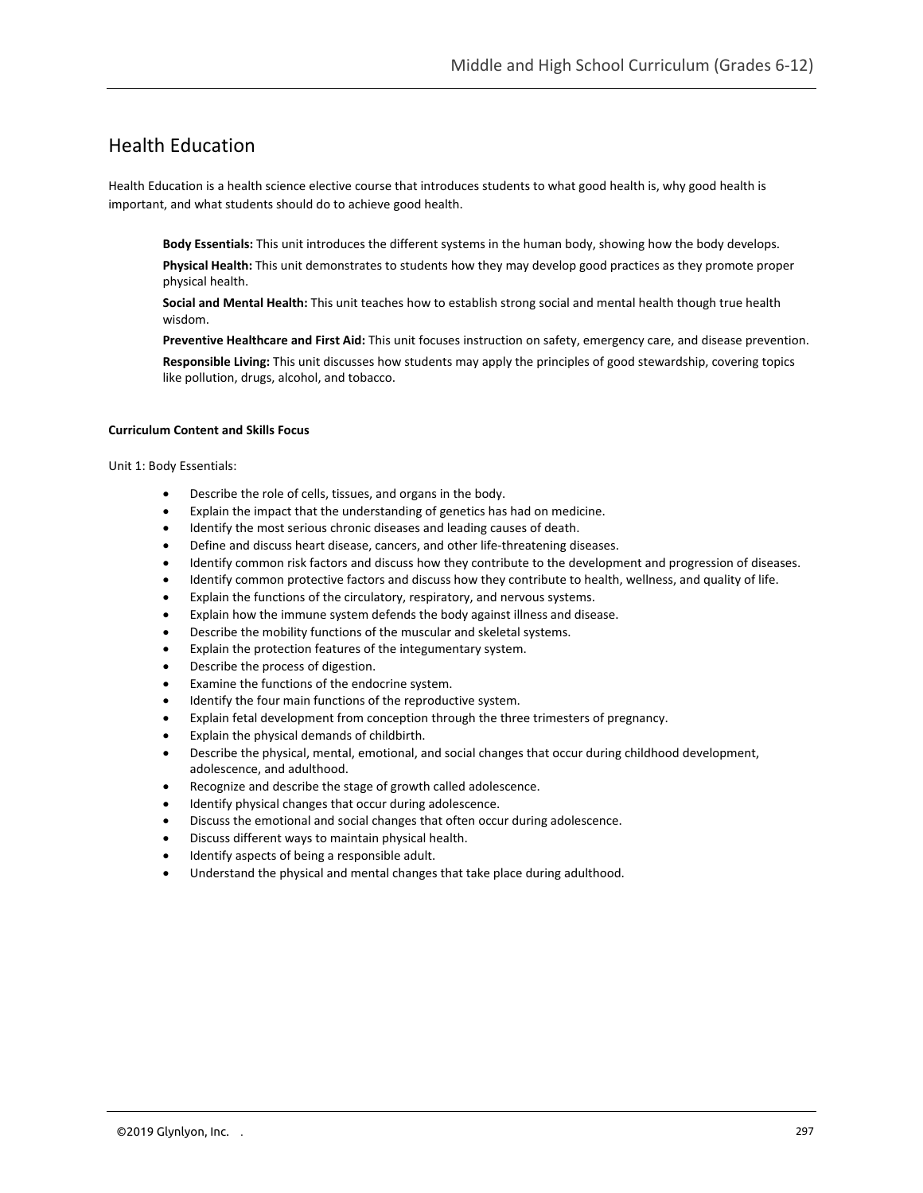# Health Education

Health Education is a health science elective course that introduces students to what good health is, why good health is important, and what students should do to achieve good health.

**Body Essentials:** This unit introduces the different systems in the human body, showing how the body develops.

**Physical Health:** This unit demonstrates to students how they may develop good practices as they promote proper physical health.

**Social and Mental Health:** This unit teaches how to establish strong social and mental health though true health wisdom.

**Preventive Healthcare and First Aid:** This unit focuses instruction on safety, emergency care, and disease prevention. **Responsible Living:** This unit discusses how students may apply the principles of good stewardship, covering topics like pollution, drugs, alcohol, and tobacco.

#### **Curriculum Content and Skills Focus**

Unit 1: Body Essentials:

- Describe the role of cells, tissues, and organs in the body.
- Explain the impact that the understanding of genetics has had on medicine.
- Identify the most serious chronic diseases and leading causes of death.
- Define and discuss heart disease, cancers, and other life-threatening diseases.
- Identify common risk factors and discuss how they contribute to the development and progression of diseases.
- Identify common protective factors and discuss how they contribute to health, wellness, and quality of life.
- Explain the functions of the circulatory, respiratory, and nervous systems.
- Explain how the immune system defends the body against illness and disease.
- Describe the mobility functions of the muscular and skeletal systems.
- Explain the protection features of the integumentary system.
- Describe the process of digestion.
- Examine the functions of the endocrine system.
- Identify the four main functions of the reproductive system.
- Explain fetal development from conception through the three trimesters of pregnancy.
- Explain the physical demands of childbirth.
- Describe the physical, mental, emotional, and social changes that occur during childhood development, adolescence, and adulthood.
- Recognize and describe the stage of growth called adolescence.
- Identify physical changes that occur during adolescence.
- Discuss the emotional and social changes that often occur during adolescence.
- Discuss different ways to maintain physical health.
- Identify aspects of being a responsible adult.
- Understand the physical and mental changes that take place during adulthood.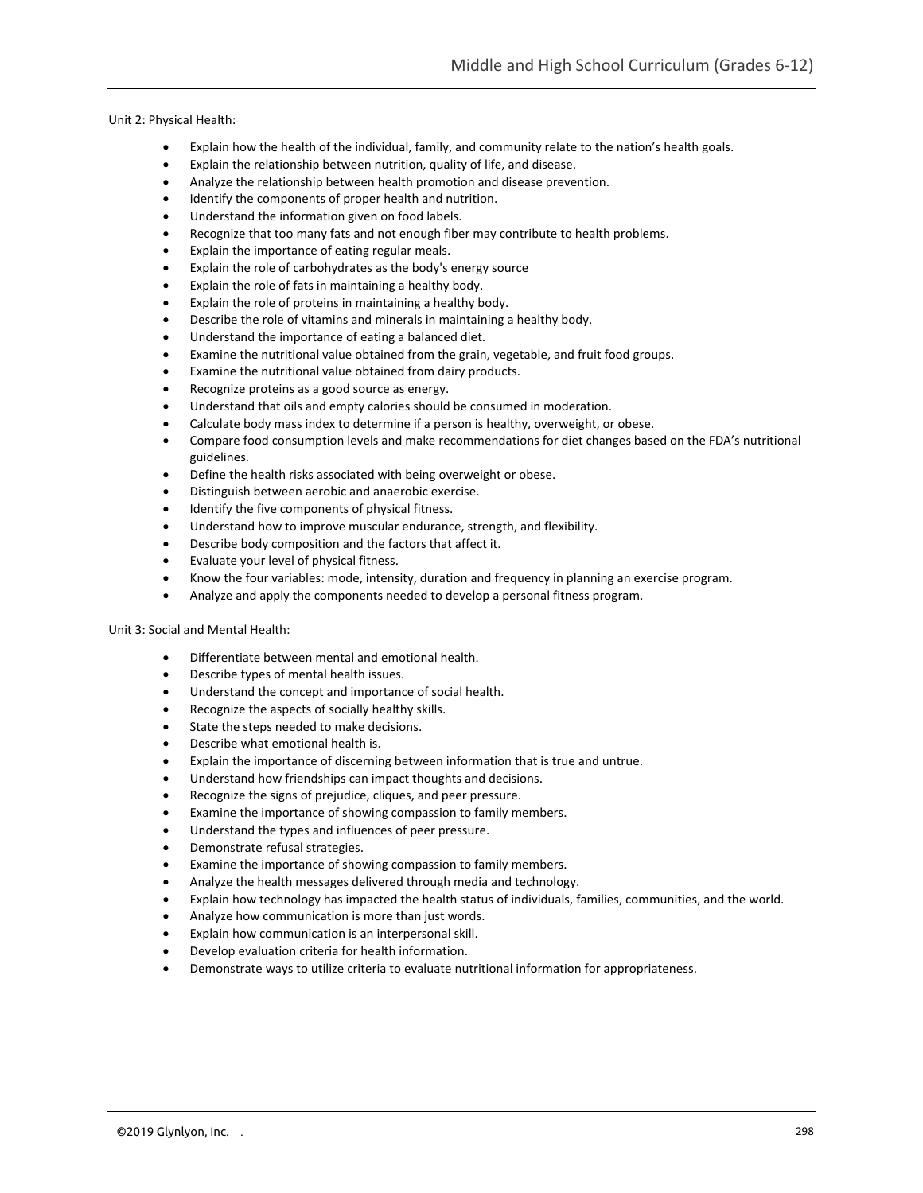Unit 2: Physical Health:

- Explain how the health of the individual, family, and community relate to the nation's health goals.
- Explain the relationship between nutrition, quality of life, and disease.
- Analyze the relationship between health promotion and disease prevention.
- Identify the components of proper health and nutrition.
- Understand the information given on food labels.
- Recognize that too many fats and not enough fiber may contribute to health problems.
- Explain the importance of eating regular meals.
- Explain the role of carbohydrates as the body's energy source
- Explain the role of fats in maintaining a healthy body.
- Explain the role of proteins in maintaining a healthy body.
- Describe the role of vitamins and minerals in maintaining a healthy body.
- Understand the importance of eating a balanced diet.
- Examine the nutritional value obtained from the grain, vegetable, and fruit food groups.
- Examine the nutritional value obtained from dairy products.
- Recognize proteins as a good source as energy.
- Understand that oils and empty calories should be consumed in moderation.
- Calculate body mass index to determine if a person is healthy, overweight, or obese.
- Compare food consumption levels and make recommendations for diet changes based on the FDA's nutritional guidelines.
- Define the health risks associated with being overweight or obese.
- Distinguish between aerobic and anaerobic exercise.
- Identify the five components of physical fitness.
- Understand how to improve muscular endurance, strength, and flexibility.
- Describe body composition and the factors that affect it.
- Evaluate your level of physical fitness.
- Know the four variables: mode, intensity, duration and frequency in planning an exercise program.
- Analyze and apply the components needed to develop a personal fitness program.

### Unit 3: Social and Mental Health:

- Differentiate between mental and emotional health.
- Describe types of mental health issues.
- Understand the concept and importance of social health.
- Recognize the aspects of socially healthy skills.
- State the steps needed to make decisions.
- Describe what emotional health is.
- Explain the importance of discerning between information that is true and untrue.
- Understand how friendships can impact thoughts and decisions.
- Recognize the signs of prejudice, cliques, and peer pressure.
- Examine the importance of showing compassion to family members.
- Understand the types and influences of peer pressure.
- Demonstrate refusal strategies.
- Examine the importance of showing compassion to family members.
- Analyze the health messages delivered through media and technology.
- Explain how technology has impacted the health status of individuals, families, communities, and the world.
- Analyze how communication is more than just words.
- Explain how communication is an interpersonal skill.
- Develop evaluation criteria for health information.
- Demonstrate ways to utilize criteria to evaluate nutritional information for appropriateness.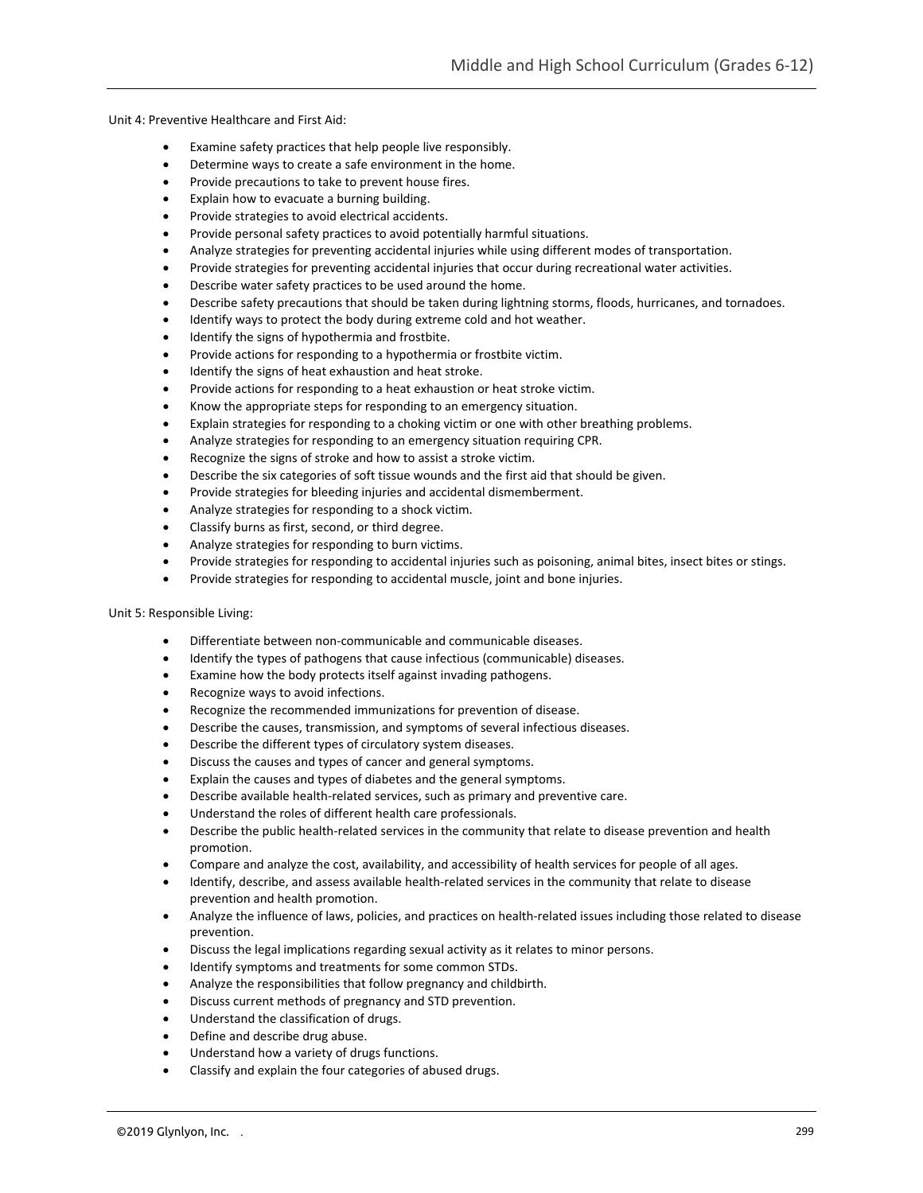Unit 4: Preventive Healthcare and First Aid:

- Examine safety practices that help people live responsibly.
- Determine ways to create a safe environment in the home.
- Provide precautions to take to prevent house fires.
- Explain how to evacuate a burning building.
- Provide strategies to avoid electrical accidents.
- Provide personal safety practices to avoid potentially harmful situations.
- Analyze strategies for preventing accidental injuries while using different modes of transportation.
- Provide strategies for preventing accidental injuries that occur during recreational water activities.
- Describe water safety practices to be used around the home.
- Describe safety precautions that should be taken during lightning storms, floods, hurricanes, and tornadoes.
- Identify ways to protect the body during extreme cold and hot weather.
- Identify the signs of hypothermia and frostbite.
- Provide actions for responding to a hypothermia or frostbite victim.
- Identify the signs of heat exhaustion and heat stroke.
- Provide actions for responding to a heat exhaustion or heat stroke victim.
- Know the appropriate steps for responding to an emergency situation.
- Explain strategies for responding to a choking victim or one with other breathing problems.
- Analyze strategies for responding to an emergency situation requiring CPR.
- Recognize the signs of stroke and how to assist a stroke victim.
- Describe the six categories of soft tissue wounds and the first aid that should be given.
- Provide strategies for bleeding injuries and accidental dismemberment.
- Analyze strategies for responding to a shock victim.
- Classify burns as first, second, or third degree.
- Analyze strategies for responding to burn victims.
- Provide strategies for responding to accidental injuries such as poisoning, animal bites, insect bites or stings.
- Provide strategies for responding to accidental muscle, joint and bone injuries.

## Unit 5: Responsible Living:

- Differentiate between non-communicable and communicable diseases.
- Identify the types of pathogens that cause infectious (communicable) diseases.
- Examine how the body protects itself against invading pathogens.
- Recognize ways to avoid infections.
- Recognize the recommended immunizations for prevention of disease.
- Describe the causes, transmission, and symptoms of several infectious diseases.
- Describe the different types of circulatory system diseases.
- Discuss the causes and types of cancer and general symptoms.
- Explain the causes and types of diabetes and the general symptoms.
- Describe available health-related services, such as primary and preventive care.
- Understand the roles of different health care professionals.
- Describe the public health-related services in the community that relate to disease prevention and health promotion.
- Compare and analyze the cost, availability, and accessibility of health services for people of all ages.
- Identify, describe, and assess available health-related services in the community that relate to disease prevention and health promotion.
- Analyze the influence of laws, policies, and practices on health-related issues including those related to disease prevention.
- Discuss the legal implications regarding sexual activity as it relates to minor persons.
- Identify symptoms and treatments for some common STDs.
- Analyze the responsibilities that follow pregnancy and childbirth.
- Discuss current methods of pregnancy and STD prevention.
- Understand the classification of drugs.
- Define and describe drug abuse.
- Understand how a variety of drugs functions.
- Classify and explain the four categories of abused drugs.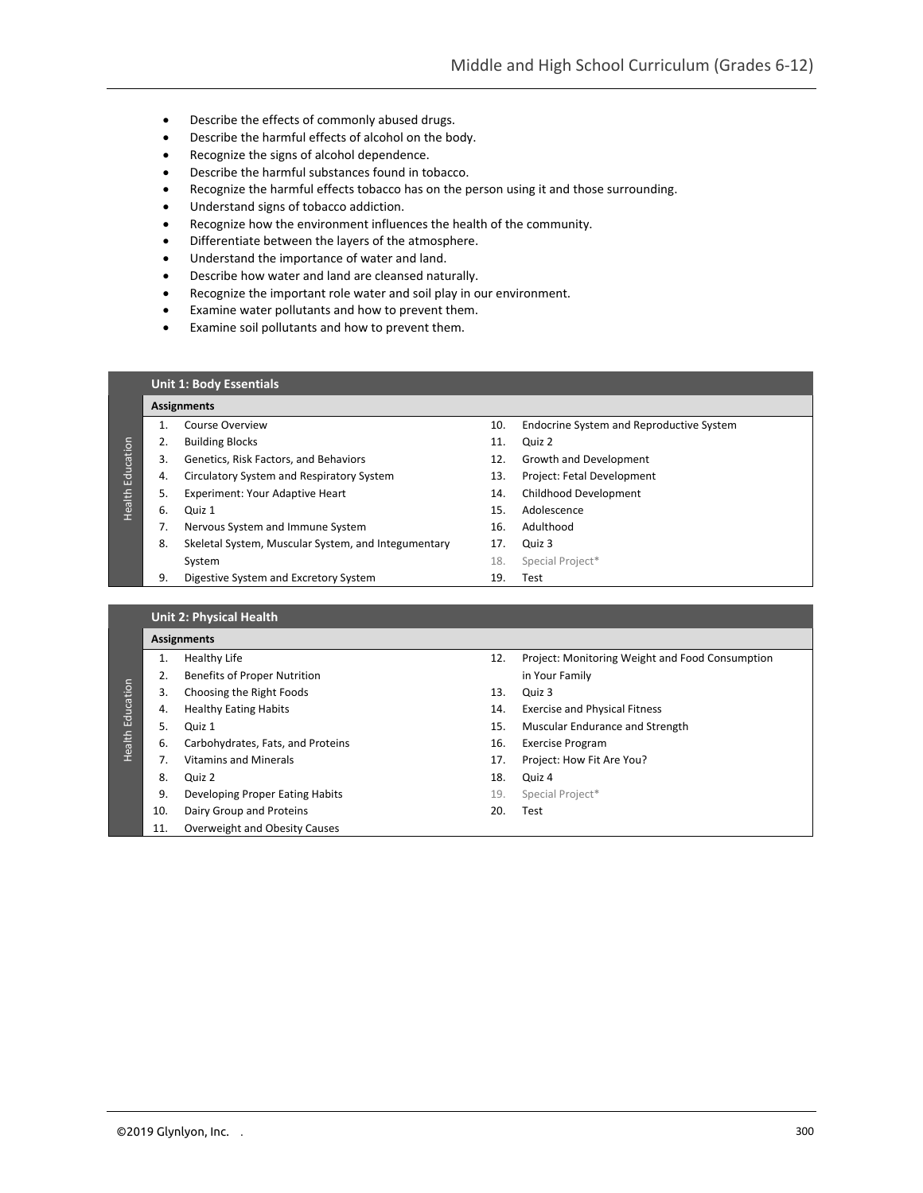- Describe the effects of commonly abused drugs.
- Describe the harmful effects of alcohol on the body.
- Recognize the signs of alcohol dependence.
- Describe the harmful substances found in tobacco.
- Recognize the harmful effects tobacco has on the person using it and those surrounding.
- Understand signs of tobacco addiction.
- Recognize how the environment influences the health of the community.
- Differentiate between the layers of the atmosphere.
- Understand the importance of water and land.
- Describe how water and land are cleansed naturally.
- Recognize the important role water and soil play in our environment.
- Examine water pollutants and how to prevent them.
- Examine soil pollutants and how to prevent them.

#### **Unit 1: Body Essentials**

#### **Assignments**

- 
- 2. Building Blocks 11. Quiz 2
- 3. Genetics, Risk Factors, and Behaviors 12. Growth and Development
- 4. Circulatory System and Respiratory System 13. Project: Fetal Development
- 5. Experiment: Your Adaptive Heart 14. Childhood Development
- 

Health Education

**Health Education** 

- 7. Nervous System and Immune System 16. Adulthood
- 8. Skeletal System, Muscular System, and Integumentary 17. Quiz 3 System 18. Special Project\*
- 9. Digestive System and Excretory System 19. Test
- 1. Course Overview 10. Endocrine System and Reproductive System
	-
	-
	-
	-
- 6. Quiz 1 15. Adolescence
	-
	-
	-
	-

|                  | <b>Unit 2: Physical Health</b> |                                   |     |                                                 |  |  |
|------------------|--------------------------------|-----------------------------------|-----|-------------------------------------------------|--|--|
| Health Education | <b>Assignments</b>             |                                   |     |                                                 |  |  |
|                  | 1.                             | <b>Healthy Life</b>               | 12. | Project: Monitoring Weight and Food Consumption |  |  |
|                  | 2.                             | Benefits of Proper Nutrition      |     | in Your Family                                  |  |  |
|                  | 3.                             | Choosing the Right Foods          | 13. | Quiz 3                                          |  |  |
|                  | 4.                             | <b>Healthy Eating Habits</b>      | 14. | <b>Exercise and Physical Fitness</b>            |  |  |
|                  | 5.                             | Quiz 1                            | 15. | Muscular Endurance and Strength                 |  |  |
|                  | 6.                             | Carbohydrates, Fats, and Proteins | 16. | <b>Exercise Program</b>                         |  |  |
|                  | 7.                             | <b>Vitamins and Minerals</b>      | 17. | Project: How Fit Are You?                       |  |  |
|                  | 8.                             | Quiz 2                            | 18. | Quiz 4                                          |  |  |
|                  | 9.                             | Developing Proper Eating Habits   | 19. | Special Project*                                |  |  |
|                  | 10.                            | Dairy Group and Proteins          | 20. | Test                                            |  |  |
|                  | 11.                            | Overweight and Obesity Causes     |     |                                                 |  |  |